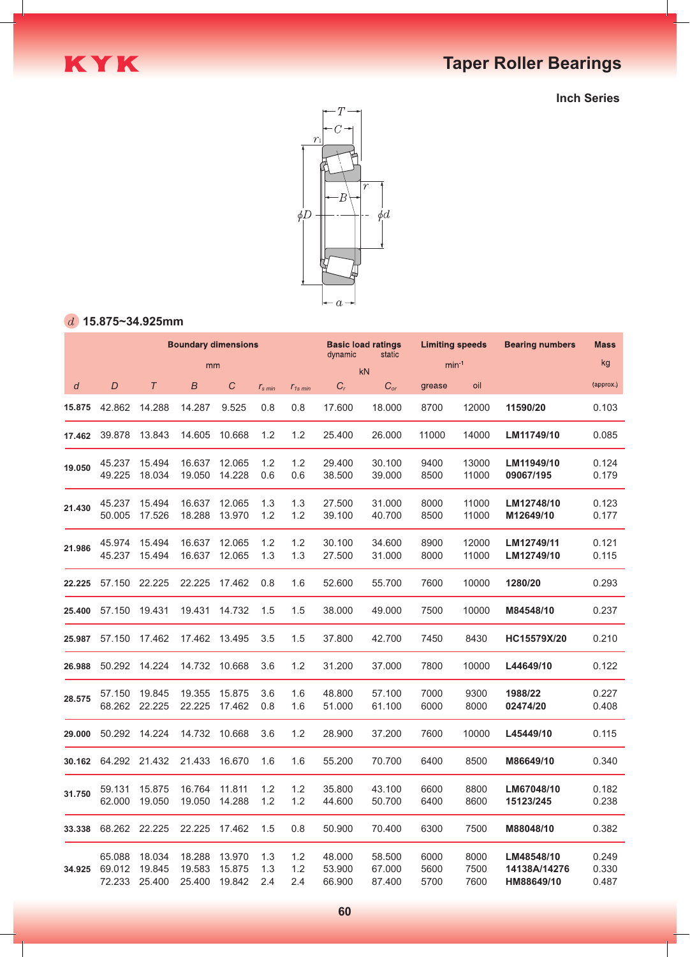

**Inch Series**



### **15.875~34.925mm**

|        | <b>Boundary dimensions</b> |                            |                            |                            |                   |                   |                            | <b>Basic load ratings</b><br>dynamic<br>static |                      | <b>Limiting speeds</b> | <b>Bearing numbers</b>                   | <b>Mass</b>             |
|--------|----------------------------|----------------------------|----------------------------|----------------------------|-------------------|-------------------|----------------------------|------------------------------------------------|----------------------|------------------------|------------------------------------------|-------------------------|
|        | mm                         |                            |                            |                            |                   |                   |                            | kN                                             | $min-1$              |                        |                                          | kg                      |
| d      | D                          | $\tau$                     | B                          | C                          | $r_{\rm s\,min}$  | $r_{1s,min}$      | $C_r$                      | $C_{or}$                                       | grease               | oil                    |                                          | (approx.)               |
| 15.875 | 42.862                     | 14.288                     | 14.287                     | 9.525                      | 0.8               | 0.8               | 17.600                     | 18.000                                         | 8700                 | 12000                  | 11590/20                                 | 0.103                   |
| 17.462 | 39.878                     | 13.843                     | 14.605                     | 10.668                     | 1.2               | 1.2               | 25.400                     | 26.000                                         | 11000                | 14000                  | LM11749/10                               | 0.085                   |
| 19.050 | 45.237<br>49.225           | 15.494<br>18.034           | 16.637<br>19.050           | 12.065<br>14.228           | 1.2<br>0.6        | 1.2<br>0.6        | 29.400<br>38.500           | 30.100<br>39.000                               | 9400<br>8500         | 13000<br>11000         | LM11949/10<br>09067/195                  | 0.124<br>0.179          |
| 21.430 | 45.237<br>50.005           | 15.494<br>17.526           | 16.637<br>18.288           | 12.065<br>13.970           | 1.3<br>1.2        | 1.3<br>1.2        | 27.500<br>39.100           | 31.000<br>40.700                               | 8000<br>8500         | 11000<br>11000         | LM12748/10<br>M12649/10                  | 0.123<br>0.177          |
| 21.986 | 45.974<br>45.237           | 15.494<br>15.494           | 16.637<br>16.637           | 12.065<br>12.065           | 1.2<br>1.3        | 1.2<br>1.3        | 30.100<br>27.500           | 34.600<br>31.000                               | 8900<br>8000         | 12000<br>11000         | LM12749/11<br>LM12749/10                 | 0.121<br>0.115          |
| 22.225 |                            | 57.150 22.225              | 22.225                     | 17.462                     | 0.8               | 1.6               | 52.600                     | 55.700                                         | 7600                 | 10000                  | 1280/20                                  | 0.293                   |
| 25.400 | 57.150                     | 19.431                     | 19.431                     | 14.732                     | 1.5               | 1.5               | 38.000                     | 49.000                                         | 7500                 | 10000                  | M84548/10                                | 0.237                   |
| 25.987 | 57.150                     | 17.462                     | 17.462                     | 13.495                     | 3.5               | 1.5               | 37.800                     | 42.700                                         | 7450                 | 8430                   | HC15579X/20                              | 0.210                   |
| 26.988 | 50.292                     | 14.224                     | 14.732                     | 10.668                     | 3.6               | 1.2               | 31.200                     | 37.000                                         | 7800                 | 10000                  | L44649/10                                | 0.122                   |
| 28.575 | 57.150<br>68.262           | 19.845<br>22.225           | 19.355<br>22.225           | 15.875<br>17.462           | 3.6<br>0.8        | 1.6<br>1.6        | 48.800<br>51.000           | 57.100<br>61.100                               | 7000<br>6000         | 9300<br>8000           | 1988/22<br>02474/20                      | 0.227<br>0.408          |
| 29.000 | 50.292                     | 14.224                     | 14.732                     | 10.668                     | 3.6               | 1.2               | 28.900                     | 37.200                                         | 7600                 | 10000                  | L45449/10                                | 0.115                   |
| 30.162 |                            | 64.292 21.432              | 21.433                     | 16.670                     | 1.6               | 1.6               | 55.200                     | 70.700                                         | 6400                 | 8500                   | M86649/10                                | 0.340                   |
| 31.750 | 59.131<br>62.000           | 15.875<br>19.050           | 16.764<br>19.050           | 11.811<br>14.288           | 1.2<br>1.2        | 1.2<br>1.2        | 35.800<br>44.600           | 43.100<br>50.700                               | 6600<br>6400         | 8800<br>8600           | LM67048/10<br>15123/245                  | 0.182<br>0.238          |
| 33.338 | 68.262                     | 22.225                     | 22.225                     | 17.462                     | 1.5               | 0.8               | 50.900                     | 70.400                                         | 6300                 | 7500                   | M88048/10                                | 0.382                   |
| 34.925 | 65.088<br>69.012<br>72.233 | 18.034<br>19.845<br>25.400 | 18.288<br>19.583<br>25.400 | 13.970<br>15.875<br>19.842 | 1.3<br>1.3<br>2.4 | 1.2<br>1.2<br>2.4 | 48.000<br>53.900<br>66.900 | 58.500<br>67.000<br>87.400                     | 6000<br>5600<br>5700 | 8000<br>7500<br>7600   | LM48548/10<br>14138A/14276<br>HM88649/10 | 0.249<br>0.330<br>0.487 |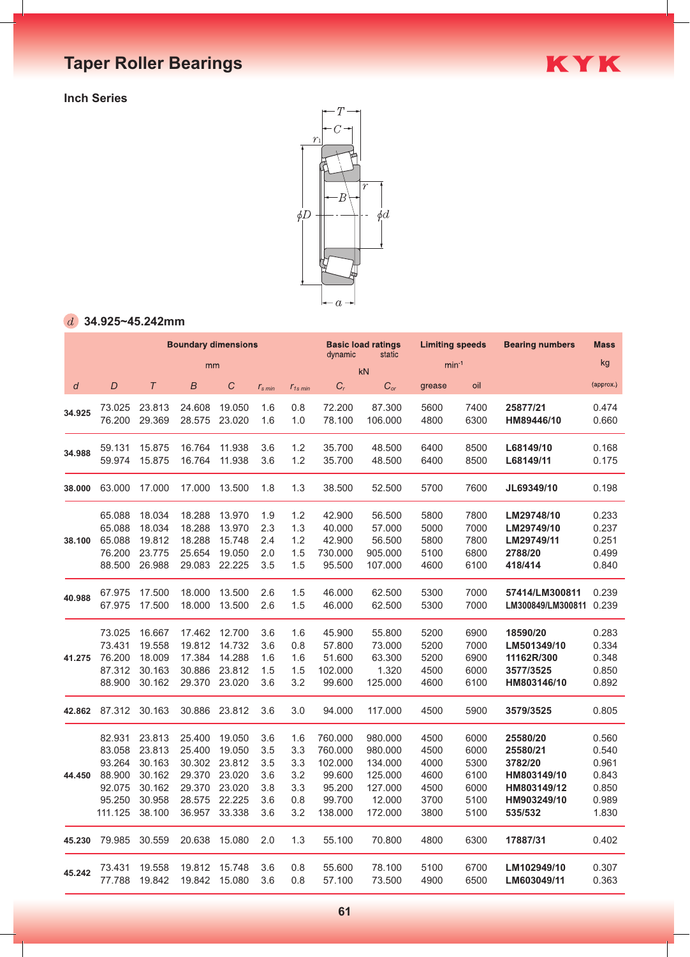**Inch Series**



KYK

### **34.925~45.242mm**

|        |                  |        | <b>Boundary dimensions</b> |               |                  |              | <b>Basic load ratings</b><br>dynamic<br>static |          | <b>Limiting speeds</b> |      | <b>Bearing numbers</b> | <b>Mass</b> |
|--------|------------------|--------|----------------------------|---------------|------------------|--------------|------------------------------------------------|----------|------------------------|------|------------------------|-------------|
|        |                  |        | mm                         |               |                  |              |                                                | kN       | $min-1$                |      |                        | kg          |
| d      | $\boldsymbol{D}$ | $\tau$ | $\boldsymbol{B}$           | $\mathcal{C}$ | $r_{\rm s\,min}$ | $r_{1s,min}$ | $C_r$                                          | $C_{or}$ | grease                 | oil  |                        | (approx.)   |
| 34.925 | 73.025           | 23.813 | 24.608                     | 19.050        | 1.6              | 0.8          | 72.200                                         | 87.300   | 5600                   | 7400 | 25877/21               | 0.474       |
|        | 76.200           | 29.369 | 28.575                     | 23.020        | 1.6              | 1.0          | 78.100                                         | 106.000  | 4800                   | 6300 | HM89446/10             | 0.660       |
| 34.988 | 59.131           | 15.875 | 16.764                     | 11.938        | 3.6              | 1.2          | 35.700                                         | 48.500   | 6400                   | 8500 | L68149/10              | 0.168       |
|        | 59.974           | 15.875 | 16.764                     | 11.938        | 3.6              | 1.2          | 35.700                                         | 48.500   | 6400                   | 8500 | L68149/11              | 0.175       |
| 38.000 | 63.000           | 17.000 | 17.000                     | 13.500        | 1.8              | 1.3          | 38.500                                         | 52.500   | 5700                   | 7600 | JL69349/10             | 0.198       |
| 38.100 | 65.088           | 18.034 | 18.288                     | 13.970        | 1.9              | 1.2          | 42.900                                         | 56.500   | 5800                   | 7800 | LM29748/10             | 0.233       |
|        | 65.088           | 18.034 | 18.288                     | 13.970        | 2.3              | 1.3          | 40.000                                         | 57.000   | 5000                   | 7000 | LM29749/10             | 0.237       |
|        | 65.088           | 19.812 | 18.288                     | 15.748        | 2.4              | 1.2          | 42.900                                         | 56.500   | 5800                   | 7800 | LM29749/11             | 0.251       |
|        | 76.200           | 23.775 | 25.654                     | 19.050        | 2.0              | 1.5          | 730.000                                        | 905.000  | 5100                   | 6800 | 2788/20                | 0.499       |
|        | 88.500           | 26.988 | 29.083                     | 22.225        | 3.5              | 1.5          | 95.500                                         | 107.000  | 4600                   | 6100 | 418/414                | 0.840       |
| 40.988 | 67.975           | 17.500 | 18.000                     | 13.500        | 2.6              | 1.5          | 46.000                                         | 62.500   | 5300                   | 7000 | 57414/LM300811         | 0.239       |
|        | 67.975           | 17.500 | 18.000                     | 13.500        | 2.6              | 1.5          | 46.000                                         | 62.500   | 5300                   | 7000 | LM300849/LM300811      | 0.239       |
| 41.275 | 73.025           | 16.667 | 17.462                     | 12.700        | 3.6              | 1.6          | 45.900                                         | 55.800   | 5200                   | 6900 | 18590/20               | 0.283       |
|        | 73.431           | 19.558 | 19.812                     | 14.732        | 3.6              | 0.8          | 57.800                                         | 73.000   | 5200                   | 7000 | LM501349/10            | 0.334       |
|        | 76.200           | 18.009 | 17.384                     | 14.288        | 1.6              | 1.6          | 51.600                                         | 63.300   | 5200                   | 6900 | 11162R/300             | 0.348       |
|        | 87.312           | 30.163 | 30.886                     | 23.812        | 1.5              | 1.5          | 102.000                                        | 1.320    | 4500                   | 6000 | 3577/3525              | 0.850       |
|        | 88.900           | 30.162 | 29.370                     | 23.020        | 3.6              | 3.2          | 99.600                                         | 125.000  | 4600                   | 6100 | HM803146/10            | 0.892       |
| 42.862 | 87.312           | 30.163 | 30.886                     | 23.812        | 3.6              | 3.0          | 94.000                                         | 117.000  | 4500                   | 5900 | 3579/3525              | 0.805       |
| 44.450 | 82.931           | 23.813 | 25.400                     | 19.050        | 3.6              | 1.6          | 760.000                                        | 980.000  | 4500                   | 6000 | 25580/20               | 0.560       |
|        | 83.058           | 23.813 | 25.400                     | 19.050        | 3.5              | 3.3          | 760.000                                        | 980.000  | 4500                   | 6000 | 25580/21               | 0.540       |
|        | 93.264           | 30.163 | 30.302                     | 23.812        | 3.5              | 3.3          | 102.000                                        | 134.000  | 4000                   | 5300 | 3782/20                | 0.961       |
|        | 88.900           | 30.162 | 29.370                     | 23.020        | 3.6              | 3.2          | 99.600                                         | 125.000  | 4600                   | 6100 | HM803149/10            | 0.843       |
|        | 92.075           | 30.162 | 29.370                     | 23.020        | 3.8              | 3.3          | 95.200                                         | 127.000  | 4500                   | 6000 | HM803149/12            | 0.850       |
|        | 95.250           | 30.958 | 28.575                     | 22.225        | 3.6              | 0.8          | 99.700                                         | 12.000   | 3700                   | 5100 | HM903249/10            | 0.989       |
|        | 111.125          | 38.100 | 36.957                     | 33.338        | 3.6              | 3.2          | 138.000                                        | 172.000  | 3800                   | 5100 | 535/532                | 1.830       |
| 45.230 | 79.985           | 30.559 | 20.638                     | 15.080        | 2.0              | 1.3          | 55.100                                         | 70.800   | 4800                   | 6300 | 17887/31               | 0.402       |
| 45.242 | 73.431           | 19.558 | 19.812                     | 15.748        | 3.6              | 0.8          | 55.600                                         | 78.100   | 5100                   | 6700 | LM102949/10            | 0.307       |
|        | 77.788           | 19.842 | 19.842                     | 15.080        | 3.6              | 0.8          | 57.100                                         | 73.500   | 4900                   | 6500 | LM603049/11            | 0.363       |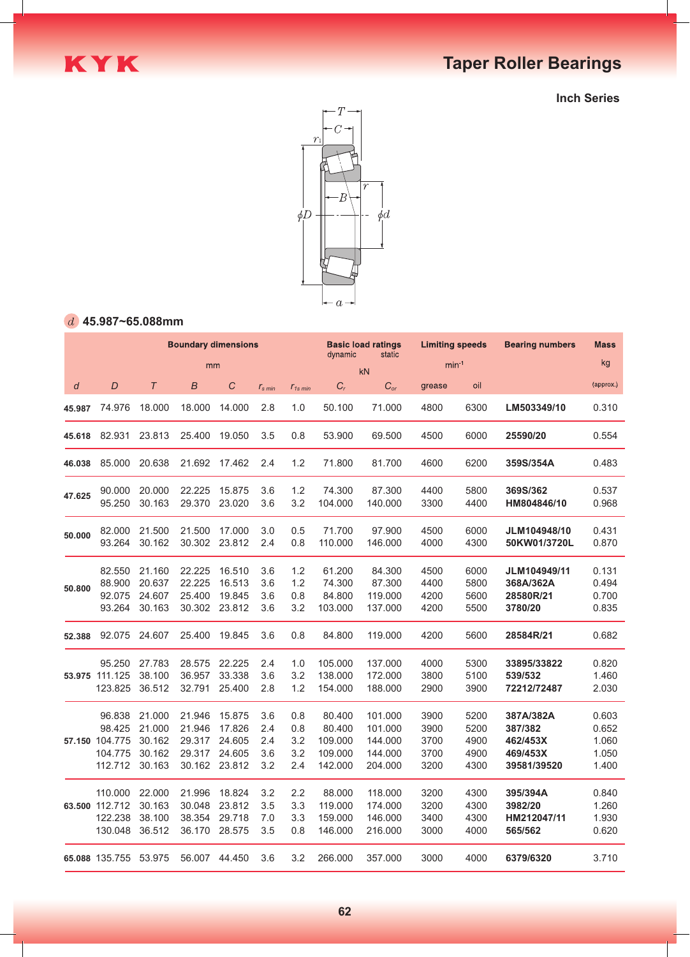

**Inch Series**



### **45.987~65.088mm**

|        | <b>Boundary dimensions</b>                               |                                                |                                                |                                                |                                 |                                 |                                                   | <b>Basic load ratings</b><br>dynamic<br>static      |                                      | <b>Limiting speeds</b>               | <b>Bearing numbers</b>                                      | <b>Mass</b>                               |
|--------|----------------------------------------------------------|------------------------------------------------|------------------------------------------------|------------------------------------------------|---------------------------------|---------------------------------|---------------------------------------------------|-----------------------------------------------------|--------------------------------------|--------------------------------------|-------------------------------------------------------------|-------------------------------------------|
|        |                                                          |                                                | mm                                             |                                                |                                 |                                 |                                                   | kN                                                  |                                      | $min^{-1}$                           |                                                             | kg                                        |
| d      | D                                                        | $\tau$                                         | $\boldsymbol{B}$                               | $\boldsymbol{C}$                               | $r_{\rm s,min}$                 | $r_{1s,min}$                    | $C_r$                                             | $C_{or}$                                            | grease                               | oil                                  |                                                             | (approx.)                                 |
| 45.987 | 74.976                                                   | 18.000                                         | 18.000                                         | 14.000                                         | 2.8                             | 1.0                             | 50.100                                            | 71.000                                              | 4800                                 | 6300                                 | LM503349/10                                                 | 0.310                                     |
| 45.618 | 82.931                                                   | 23.813                                         | 25.400                                         | 19.050                                         | 3.5                             | 0.8                             | 53.900                                            | 69.500                                              | 4500                                 | 6000                                 | 25590/20                                                    | 0.554                                     |
| 46.038 | 85.000                                                   | 20.638                                         | 21.692                                         | 17.462                                         | 2.4                             | 1.2                             | 71.800                                            | 81.700                                              | 4600                                 | 6200                                 | 359S/354A                                                   | 0.483                                     |
| 47.625 | 90.000<br>95.250                                         | 20.000<br>30.163                               | 22.225<br>29.370                               | 15.875<br>23.020                               | 3.6<br>3.6                      | 1.2<br>3.2                      | 74.300<br>104.000                                 | 87.300<br>140.000                                   | 4400<br>3300                         | 5800<br>4400                         | 369S/362<br>HM804846/10                                     | 0.537<br>0.968                            |
| 50.000 | 82.000<br>93.264                                         | 21.500<br>30.162                               | 21.500<br>30.302                               | 17.000<br>23.812                               | 3.0<br>2.4                      | 0.5<br>0.8                      | 71.700<br>110.000                                 | 97.900<br>146.000                                   | 4500<br>4000                         | 6000<br>4300                         | JLM104948/10<br>50KW01/3720L                                | 0.431<br>0.870                            |
| 50.800 | 82.550<br>88.900<br>92.075<br>93.264                     | 21.160<br>20.637<br>24.607<br>30.163           | 22.225<br>22.225<br>25.400<br>30.302           | 16.510<br>16.513<br>19.845<br>23.812           | 3.6<br>3.6<br>3.6<br>3.6        | 1.2<br>1.2<br>0.8<br>3.2        | 61.200<br>74.300<br>84.800<br>103.000             | 84.300<br>87.300<br>119.000<br>137.000              | 4500<br>4400<br>4200<br>4200         | 6000<br>5800<br>5600<br>5500         | JLM104949/11<br>368A/362A<br>28580R/21<br>3780/20           | 0.131<br>0.494<br>0.700<br>0.835          |
| 52.388 | 92.075                                                   | 24.607                                         | 25.400                                         | 19.845                                         | 3.6                             | 0.8                             | 84.800                                            | 119.000                                             | 4200                                 | 5600                                 | 28584R/21                                                   | 0.682                                     |
|        | 95.250<br>53.975 111.125<br>123.825                      | 27.783<br>38.100<br>36.512                     | 28.575<br>36.957<br>32.791                     | 22.225<br>33.338<br>25.400                     | 2.4<br>3.6<br>2.8               | 1.0<br>3.2<br>1.2               | 105.000<br>138.000<br>154.000                     | 137.000<br>172.000<br>188.000                       | 4000<br>3800<br>2900                 | 5300<br>5100<br>3900                 | 33895/33822<br>539/532<br>72212/72487                       | 0.820<br>1.460<br>2.030                   |
|        | 96.838<br>98.425<br>57.150 104.775<br>104.775<br>112.712 | 21.000<br>21.000<br>30.162<br>30.162<br>30.163 | 21.946<br>21.946<br>29.317<br>29.317<br>30.162 | 15.875<br>17.826<br>24.605<br>24.605<br>23.812 | 3.6<br>2.4<br>2.4<br>3.6<br>3.2 | 0.8<br>0.8<br>3.2<br>3.2<br>2.4 | 80.400<br>80.400<br>109.000<br>109.000<br>142.000 | 101.000<br>101.000<br>144.000<br>144.000<br>204.000 | 3900<br>3900<br>3700<br>3700<br>3200 | 5200<br>5200<br>4900<br>4900<br>4300 | 387A/382A<br>387/382<br>462/453X<br>469/453X<br>39581/39520 | 0.603<br>0.652<br>1.060<br>1.050<br>1.400 |
|        | 110.000<br>63.500 112.712<br>122.238<br>130.048          | 22,000<br>30.163<br>38.100<br>36.512           | 21.996<br>30.048<br>38.354<br>36.170           | 18.824<br>23.812<br>29.718<br>28.575           | 3.2<br>3.5<br>7.0<br>3.5        | 2.2<br>3.3<br>3.3<br>0.8        | 88,000<br>119.000<br>159.000<br>146.000           | 118,000<br>174.000<br>146.000<br>216.000            | 3200<br>3200<br>3400<br>3000         | 4300<br>4300<br>4300<br>4000         | 395/394A<br>3982/20<br>HM212047/11<br>565/562               | 0.840<br>1.260<br>1.930<br>0.620          |
|        | 65.088 135.755 53.975                                    |                                                | 56.007                                         | 44.450                                         | 3.6                             | 3.2                             | 266.000                                           | 357.000                                             | 3000                                 | 4000                                 | 6379/6320                                                   | 3.710                                     |